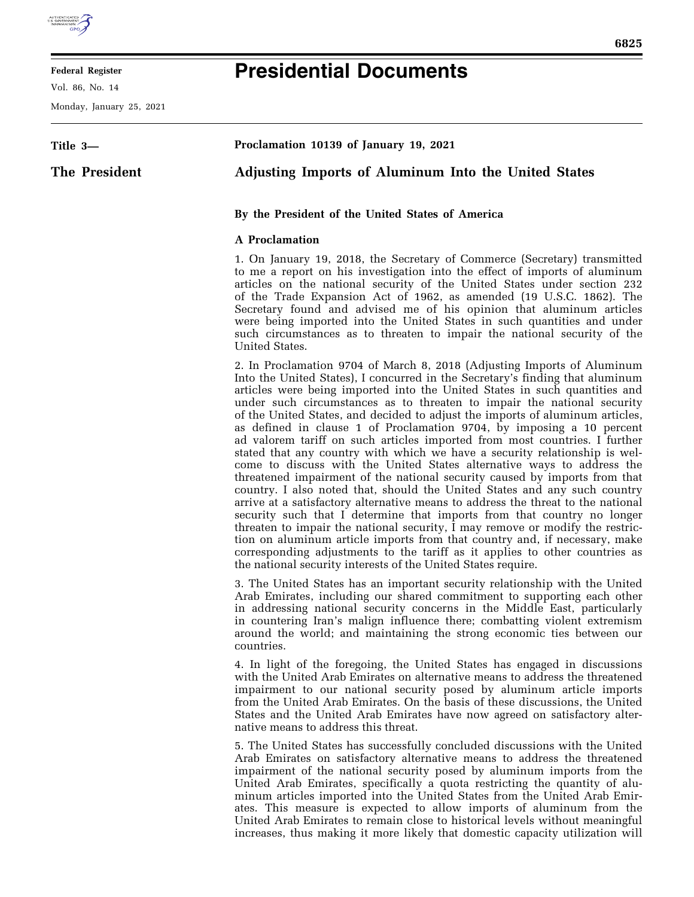

#### **Federal Register**

Vol. 86, No. 14

Monday, January 25, 2021

# **Presidential Documents**

| Title 3-      | Proclamation 10139 of January 19, 2021                                                                                                                                                                                                                                                                                                                                                                                                                                                                                                                                                                                                                                                                                                                                                                                                                                                                                                                                                                                                                                                                                                                                                                     |  |  |
|---------------|------------------------------------------------------------------------------------------------------------------------------------------------------------------------------------------------------------------------------------------------------------------------------------------------------------------------------------------------------------------------------------------------------------------------------------------------------------------------------------------------------------------------------------------------------------------------------------------------------------------------------------------------------------------------------------------------------------------------------------------------------------------------------------------------------------------------------------------------------------------------------------------------------------------------------------------------------------------------------------------------------------------------------------------------------------------------------------------------------------------------------------------------------------------------------------------------------------|--|--|
| The President | <b>Adjusting Imports of Aluminum Into the United States</b>                                                                                                                                                                                                                                                                                                                                                                                                                                                                                                                                                                                                                                                                                                                                                                                                                                                                                                                                                                                                                                                                                                                                                |  |  |
|               | By the President of the United States of America                                                                                                                                                                                                                                                                                                                                                                                                                                                                                                                                                                                                                                                                                                                                                                                                                                                                                                                                                                                                                                                                                                                                                           |  |  |
|               | <b>A</b> Proclamation                                                                                                                                                                                                                                                                                                                                                                                                                                                                                                                                                                                                                                                                                                                                                                                                                                                                                                                                                                                                                                                                                                                                                                                      |  |  |
|               | 1. On January 19, 2018, the Secretary of Commerce (Secretary) transmitted<br>to me a report on his investigation into the effect of imports of aluminum<br>articles on the national security of the United States under section 232<br>of the Trade Expansion Act of 1962, as amended (19 U.S.C. 1862). The<br>Secretary found and advised me of his opinion that aluminum articles<br>were being imported into the United States in such quantities and under<br>such circumstances as to threaten to impair the national security of the<br>United States.                                                                                                                                                                                                                                                                                                                                                                                                                                                                                                                                                                                                                                               |  |  |
|               | 2. In Proclamation 9704 of March 8, 2018 (Adjusting Imports of Aluminum<br>Into the United States), I concurred in the Secretary's finding that aluminum<br>articles were being imported into the United States in such quantities and<br>under such circumstances as to threaten to impair the national security<br>of the United States, and decided to adjust the imports of aluminum articles,<br>as defined in clause 1 of Proclamation 9704, by imposing a 10 percent<br>ad valorem tariff on such articles imported from most countries. I further<br>stated that any country with which we have a security relationship is wel-<br>come to discuss with the United States alternative ways to address the<br>threatened impairment of the national security caused by imports from that<br>country. I also noted that, should the United States and any such country<br>arrive at a satisfactory alternative means to address the threat to the national<br>security such that I determine that imports from that country no longer<br>threaten to impair the national security, I may remove or modify the restric-<br>tion on aluminum article imports from that country and, if necessary, make |  |  |

3. The United States has an important security relationship with the United Arab Emirates, including our shared commitment to supporting each other in addressing national security concerns in the Middle East, particularly in countering Iran's malign influence there; combatting violent extremism around the world; and maintaining the strong economic ties between our countries.

corresponding adjustments to the tariff as it applies to other countries as

the national security interests of the United States require.

4. In light of the foregoing, the United States has engaged in discussions with the United Arab Emirates on alternative means to address the threatened impairment to our national security posed by aluminum article imports from the United Arab Emirates. On the basis of these discussions, the United States and the United Arab Emirates have now agreed on satisfactory alternative means to address this threat.

5. The United States has successfully concluded discussions with the United Arab Emirates on satisfactory alternative means to address the threatened impairment of the national security posed by aluminum imports from the United Arab Emirates, specifically a quota restricting the quantity of aluminum articles imported into the United States from the United Arab Emirates. This measure is expected to allow imports of aluminum from the United Arab Emirates to remain close to historical levels without meaningful increases, thus making it more likely that domestic capacity utilization will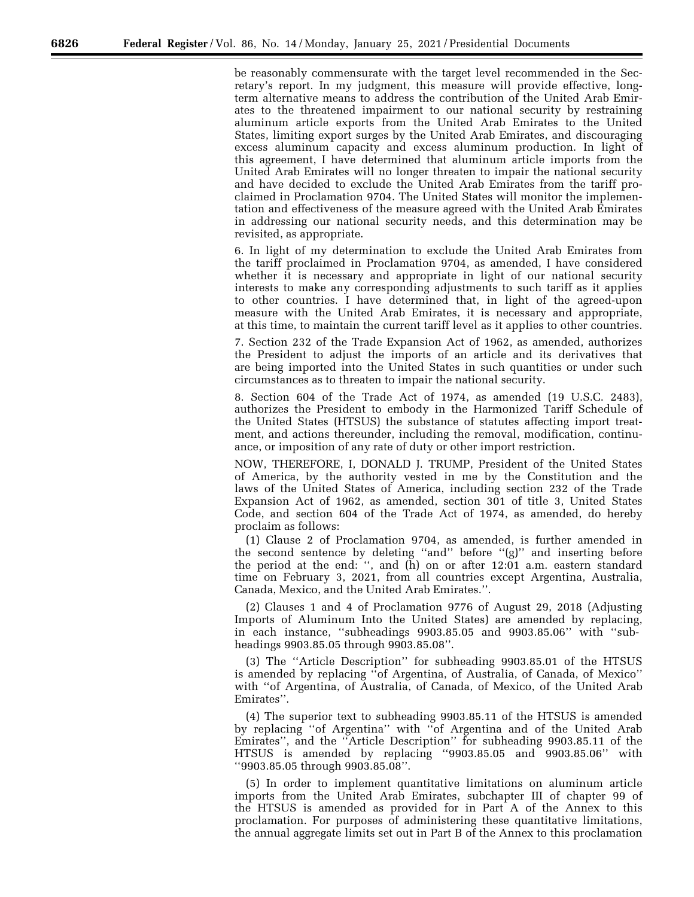be reasonably commensurate with the target level recommended in the Secretary's report. In my judgment, this measure will provide effective, longterm alternative means to address the contribution of the United Arab Emirates to the threatened impairment to our national security by restraining aluminum article exports from the United Arab Emirates to the United States, limiting export surges by the United Arab Emirates, and discouraging excess aluminum capacity and excess aluminum production. In light of this agreement, I have determined that aluminum article imports from the United Arab Emirates will no longer threaten to impair the national security and have decided to exclude the United Arab Emirates from the tariff proclaimed in Proclamation 9704. The United States will monitor the implementation and effectiveness of the measure agreed with the United Arab Emirates in addressing our national security needs, and this determination may be revisited, as appropriate.

6. In light of my determination to exclude the United Arab Emirates from the tariff proclaimed in Proclamation 9704, as amended, I have considered whether it is necessary and appropriate in light of our national security interests to make any corresponding adjustments to such tariff as it applies to other countries. I have determined that, in light of the agreed-upon measure with the United Arab Emirates, it is necessary and appropriate, at this time, to maintain the current tariff level as it applies to other countries.

7. Section 232 of the Trade Expansion Act of 1962, as amended, authorizes the President to adjust the imports of an article and its derivatives that are being imported into the United States in such quantities or under such circumstances as to threaten to impair the national security.

8. Section 604 of the Trade Act of 1974, as amended (19 U.S.C. 2483), authorizes the President to embody in the Harmonized Tariff Schedule of the United States (HTSUS) the substance of statutes affecting import treatment, and actions thereunder, including the removal, modification, continuance, or imposition of any rate of duty or other import restriction.

NOW, THEREFORE, I, DONALD J. TRUMP, President of the United States of America, by the authority vested in me by the Constitution and the laws of the United States of America, including section 232 of the Trade Expansion Act of 1962, as amended, section 301 of title 3, United States Code, and section 604 of the Trade Act of 1974, as amended, do hereby proclaim as follows:

(1) Clause 2 of Proclamation 9704, as amended, is further amended in the second sentence by deleting ''and'' before ''(g)'' and inserting before the period at the end: '', and (h) on or after 12:01 a.m. eastern standard time on February 3, 2021, from all countries except Argentina, Australia, Canada, Mexico, and the United Arab Emirates.''.

(2) Clauses 1 and 4 of Proclamation 9776 of August 29, 2018 (Adjusting Imports of Aluminum Into the United States) are amended by replacing, in each instance, ''subheadings 9903.85.05 and 9903.85.06'' with ''subheadings 9903.85.05 through 9903.85.08''.

(3) The ''Article Description'' for subheading 9903.85.01 of the HTSUS is amended by replacing ''of Argentina, of Australia, of Canada, of Mexico'' with ''of Argentina, of Australia, of Canada, of Mexico, of the United Arab Emirates''.

(4) The superior text to subheading 9903.85.11 of the HTSUS is amended by replacing ''of Argentina'' with ''of Argentina and of the United Arab Emirates'', and the ''Article Description'' for subheading 9903.85.11 of the HTSUS is amended by replacing ''9903.85.05 and 9903.85.06'' with ''9903.85.05 through 9903.85.08''.

(5) In order to implement quantitative limitations on aluminum article imports from the United Arab Emirates, subchapter III of chapter 99 of the HTSUS is amended as provided for in Part A of the Annex to this proclamation. For purposes of administering these quantitative limitations, the annual aggregate limits set out in Part B of the Annex to this proclamation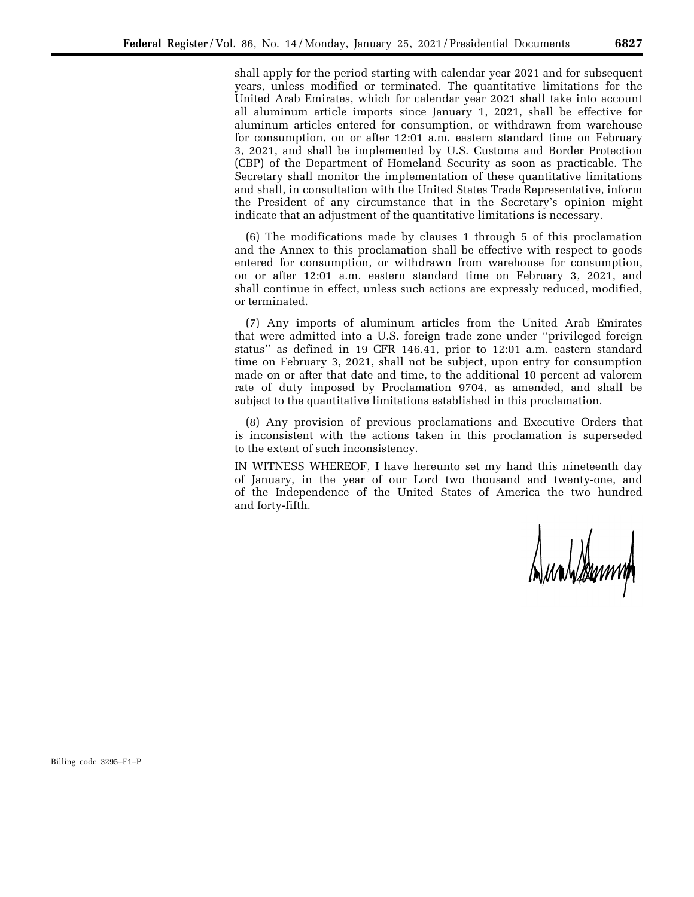shall apply for the period starting with calendar year 2021 and for subsequent years, unless modified or terminated. The quantitative limitations for the United Arab Emirates, which for calendar year 2021 shall take into account all aluminum article imports since January 1, 2021, shall be effective for aluminum articles entered for consumption, or withdrawn from warehouse for consumption, on or after 12:01 a.m. eastern standard time on February 3, 2021, and shall be implemented by U.S. Customs and Border Protection (CBP) of the Department of Homeland Security as soon as practicable. The Secretary shall monitor the implementation of these quantitative limitations and shall, in consultation with the United States Trade Representative, inform the President of any circumstance that in the Secretary's opinion might indicate that an adjustment of the quantitative limitations is necessary.

(6) The modifications made by clauses 1 through 5 of this proclamation and the Annex to this proclamation shall be effective with respect to goods entered for consumption, or withdrawn from warehouse for consumption, on or after 12:01 a.m. eastern standard time on February 3, 2021, and shall continue in effect, unless such actions are expressly reduced, modified, or terminated.

(7) Any imports of aluminum articles from the United Arab Emirates that were admitted into a U.S. foreign trade zone under ''privileged foreign status'' as defined in 19 CFR 146.41, prior to 12:01 a.m. eastern standard time on February 3, 2021, shall not be subject, upon entry for consumption made on or after that date and time, to the additional 10 percent ad valorem rate of duty imposed by Proclamation 9704, as amended, and shall be subject to the quantitative limitations established in this proclamation.

(8) Any provision of previous proclamations and Executive Orders that is inconsistent with the actions taken in this proclamation is superseded to the extent of such inconsistency.

IN WITNESS WHEREOF, I have hereunto set my hand this nineteenth day of January, in the year of our Lord two thousand and twenty-one, and of the Independence of the United States of America the two hundred and forty-fifth.

Dundsteam

Billing code 3295–F1–P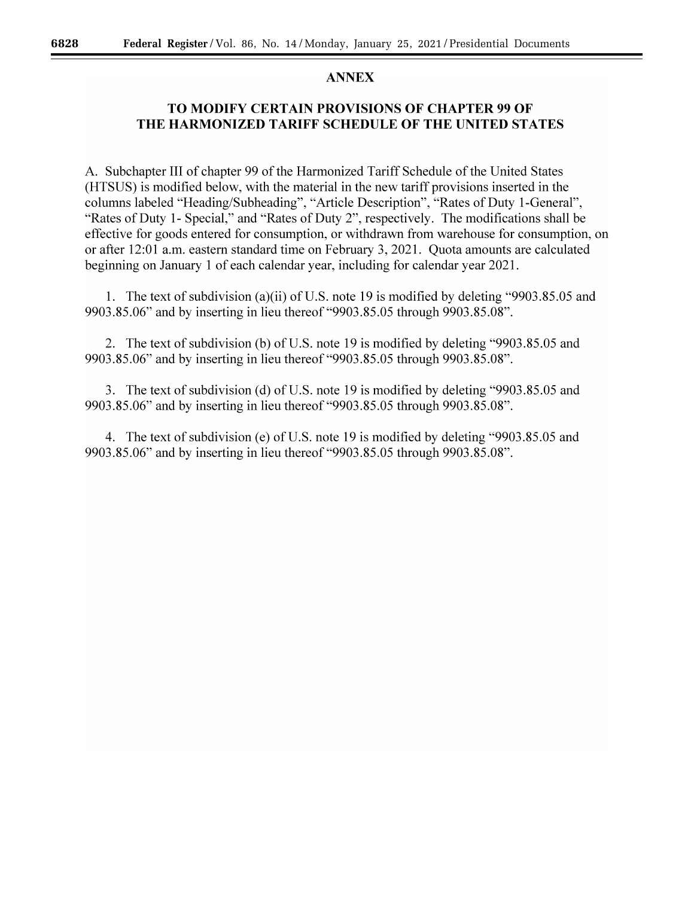### **ANNEX**

## TO MODIFY CERTAIN PROVISIONS OF CHAPTER 99 OF THE HARMONIZED TARIFF SCHEDULE OF THE UNITED STATES

A. Subchapter III of chapter 99 of the Harmonized Tariff Schedule of the United States (HTSUS) is modified below, with the material in the new tariff provisions inserted in the columns labeled "Heading/Subheading", "Article Description", "Rates of Duty 1-General", "Rates of Duty 1- Special," and "Rates of Duty 2", respectively. The modifications shall be effective for goods entered for consumption, or withdrawn from warehouse for consumption, on or after 12:01 a.m. eastern standard time on February 3, 2021. Quota amounts are calculated beginning on January 1 of each calendar year, including for calendar year 2021.

1. The text of subdivision (a)(ii) of U.S. note 19 is modified by deleting "9903.85.05 and 9903.85.06" and by inserting in lieu thereof "9903.85.05 through 9903.85.08".

2. The text of subdivision (b) of U.S. note 19 is modified by deleting "9903.85.05 and 9903.85.06" and by inserting in lieu thereof "9903.85.05 through 9903.85.08".

3. The text of subdivision (d) of U.S. note 19 is modified by deleting "9903.85.05 and 9903.85.06" and by inserting in lieu thereof "9903.85.05 through 9903.85.08".

4. The text of subdivision (e) of U.S. note 19 is modified by deleting "9903.85.05 and 9903.85.06" and by inserting in lieu thereof "9903.85.05 through 9903.85.08".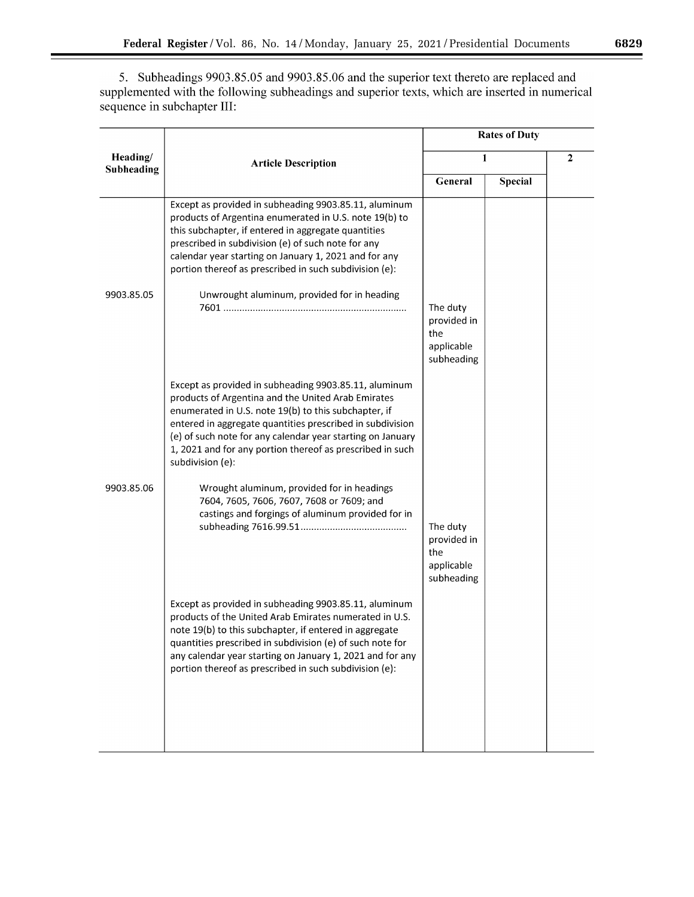٠

5. Subheadings 9903.85.05 and 9903.85.06 and the superior text thereto are replaced and supplemented with the following subheadings and superior texts, which are inserted in numerical sequence in subchapter III:

|                        |                                                                                                                                                                                                                                                                                                                                                                                 | <b>Rates of Duty</b>                                       |                |  |
|------------------------|---------------------------------------------------------------------------------------------------------------------------------------------------------------------------------------------------------------------------------------------------------------------------------------------------------------------------------------------------------------------------------|------------------------------------------------------------|----------------|--|
| Heading/<br>Subheading | <b>Article Description</b>                                                                                                                                                                                                                                                                                                                                                      |                                                            | 1              |  |
|                        |                                                                                                                                                                                                                                                                                                                                                                                 | General                                                    | <b>Special</b> |  |
|                        | Except as provided in subheading 9903.85.11, aluminum<br>products of Argentina enumerated in U.S. note 19(b) to<br>this subchapter, if entered in aggregate quantities<br>prescribed in subdivision (e) of such note for any<br>calendar year starting on January 1, 2021 and for any<br>portion thereof as prescribed in such subdivision (e):                                 |                                                            |                |  |
| 9903.85.05             | Unwrought aluminum, provided for in heading                                                                                                                                                                                                                                                                                                                                     | The duty<br>provided in<br>the<br>applicable<br>subheading |                |  |
|                        | Except as provided in subheading 9903.85.11, aluminum<br>products of Argentina and the United Arab Emirates<br>enumerated in U.S. note 19(b) to this subchapter, if<br>entered in aggregate quantities prescribed in subdivision<br>(e) of such note for any calendar year starting on January<br>1, 2021 and for any portion thereof as prescribed in such<br>subdivision (e): |                                                            |                |  |
| 9903.85.06             | Wrought aluminum, provided for in headings<br>7604, 7605, 7606, 7607, 7608 or 7609; and<br>castings and forgings of aluminum provided for in                                                                                                                                                                                                                                    | The duty<br>provided in<br>the<br>applicable<br>subheading |                |  |
|                        | Except as provided in subheading 9903.85.11, aluminum<br>products of the United Arab Emirates numerated in U.S.<br>note 19(b) to this subchapter, if entered in aggregate<br>quantities prescribed in subdivision (e) of such note for<br>any calendar year starting on January 1, 2021 and for any<br>portion thereof as prescribed in such subdivision (e):                   |                                                            |                |  |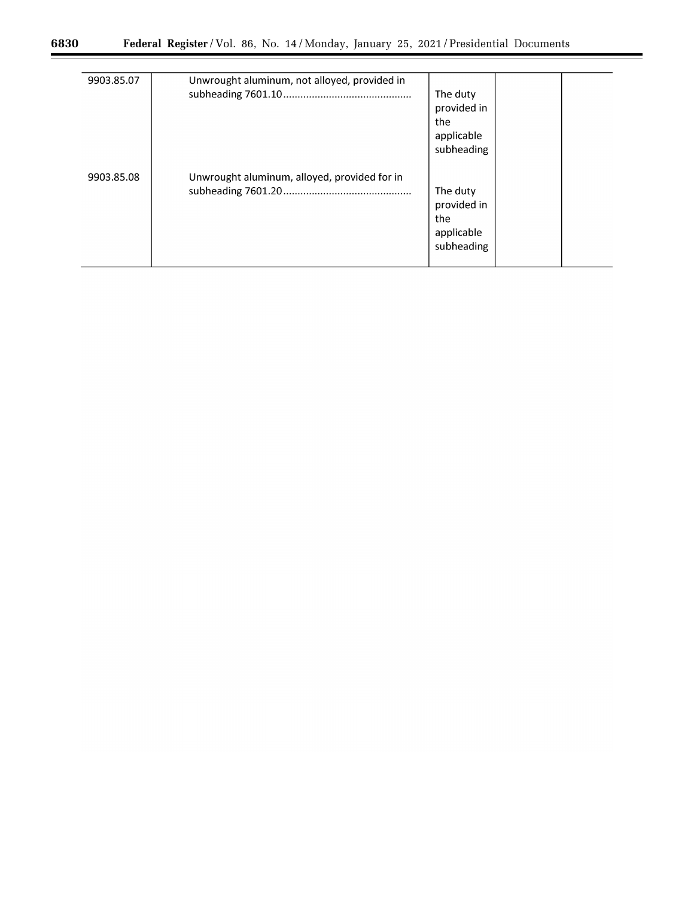▀

| 9903.85.07 | Unwrought aluminum, not alloyed, provided in | The duty<br>provided in<br>the<br>applicable<br>subheading |  |
|------------|----------------------------------------------|------------------------------------------------------------|--|
| 9903.85.08 | Unwrought aluminum, alloyed, provided for in | The duty<br>provided in<br>the<br>applicable<br>subheading |  |

 $\equiv$